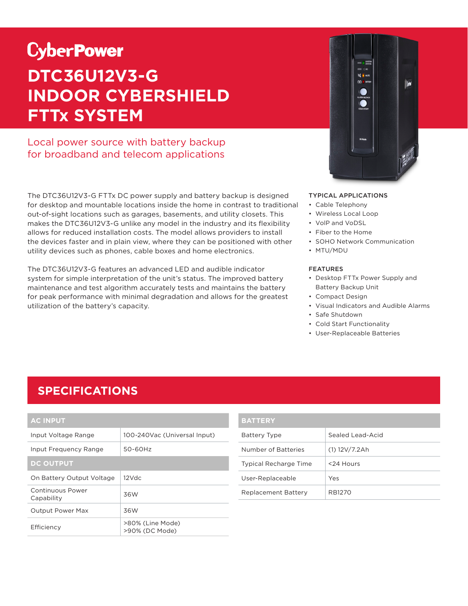# **CyberPower DTC36U12V3-G INDOOR CYBERSHIELD FTTx SYSTEM**

Local power source with battery backup for broadband and telecom applications

The DTC36U12V3-G FTTx DC power supply and battery backup is designed for desktop and mountable locations inside the home in contrast to traditional out-of-sight locations such as garages, basements, and utility closets. This makes the DTC36U12V3-G unlike any model in the industry and its flexibility allows for reduced installation costs. The model allows providers to install the devices faster and in plain view, where they can be positioned with other utility devices such as phones, cable boxes and home electronics.

The DTC36U12V3-G features an advanced LED and audible indicator system for simple interpretation of the unit's status. The improved battery maintenance and test algorithm accurately tests and maintains the battery for peak performance with minimal degradation and allows for the greatest utilization of the battery's capacity.



#### TYPICAL APPLICATIONS

- Cable Telephony
- Wireless Local Loop
- VolP and VoDSL
- Fiber to the Home
- SOHO Network Communication
- MTU/MDU

#### FEATURES

- Desktop FTTx Power Supply and Battery Backup Unit
- Compact Design
- Visual Indicators and Audible Alarms
- Safe Shutdown
- Cold Start Functionality
- User-Replaceable Batteries

### **SPECIFICATIONS**

| <b>AC INPUT</b>                |                                    |  |
|--------------------------------|------------------------------------|--|
| Input Voltage Range            | 100-240Vac (Universal Input)       |  |
| Input Frequency Range          | 50-60Hz                            |  |
| <b>DC OUTPUT</b>               |                                    |  |
| On Battery Output Voltage      | 12 Vdc                             |  |
| Continuous Power<br>Capability | 36W                                |  |
| <b>Output Power Max</b>        | 36W                                |  |
| Efficiency                     | >80% (Line Mode)<br>>90% (DC Mode) |  |

| <b>BATTERY</b>               |                  |
|------------------------------|------------------|
| Battery Type                 | Sealed Lead-Acid |
| Number of Batteries          | $(1)$ 12V/7.2Ah  |
| <b>Typical Recharge Time</b> | <24 Hours        |
| User-Replaceable             | Yes              |
| Replacement Battery          | RB1270           |